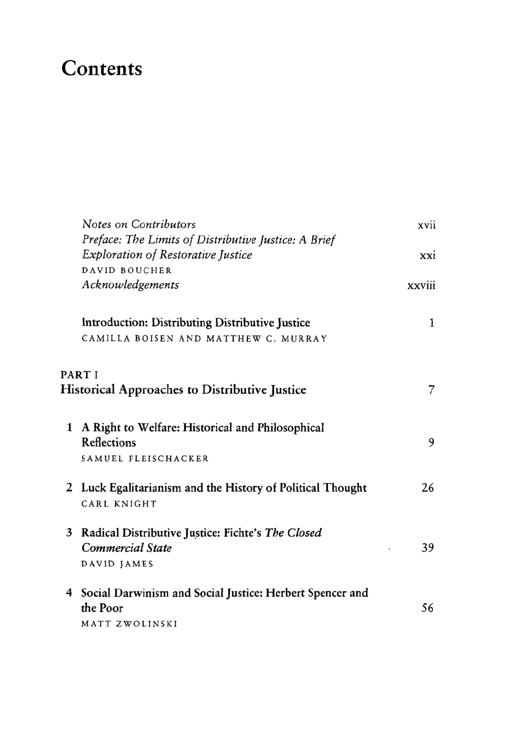## Contents

|                                                                | Notes on Contributors                                                                         | xvii   |
|----------------------------------------------------------------|-----------------------------------------------------------------------------------------------|--------|
|                                                                | Preface: The Limits of Distributive Justice: A Brief                                          |        |
|                                                                | <b>Exploration of Restorative Justice</b>                                                     | xxi    |
|                                                                | DAVID BOUCHER                                                                                 |        |
|                                                                | Acknowledgements                                                                              | xxviii |
|                                                                | Introduction: Distributing Distributive Justice                                               | 1      |
|                                                                | CAMILLA BOISEN AND MATTHEW C. MURRAY                                                          |        |
| PART I<br><b>Historical Approaches to Distributive Justice</b> |                                                                                               | 7      |
| 1                                                              | A Right to Welfare: Historical and Philosophical<br>Reflections<br>SAMUEL FLEISCHACKER        | 9      |
|                                                                | 2 Luck Egalitarianism and the History of Political Thought<br>CARL KNIGHT                     | 26     |
|                                                                | 3 Radical Distributive Justice: Fichte's The Closed<br><b>Commercial State</b><br>DAVID JAMES | 39     |
| 4                                                              | Social Darwinism and Social Justice: Herbert Spencer and<br>the Poor<br>MATT ZWOLINSKI        | 56     |